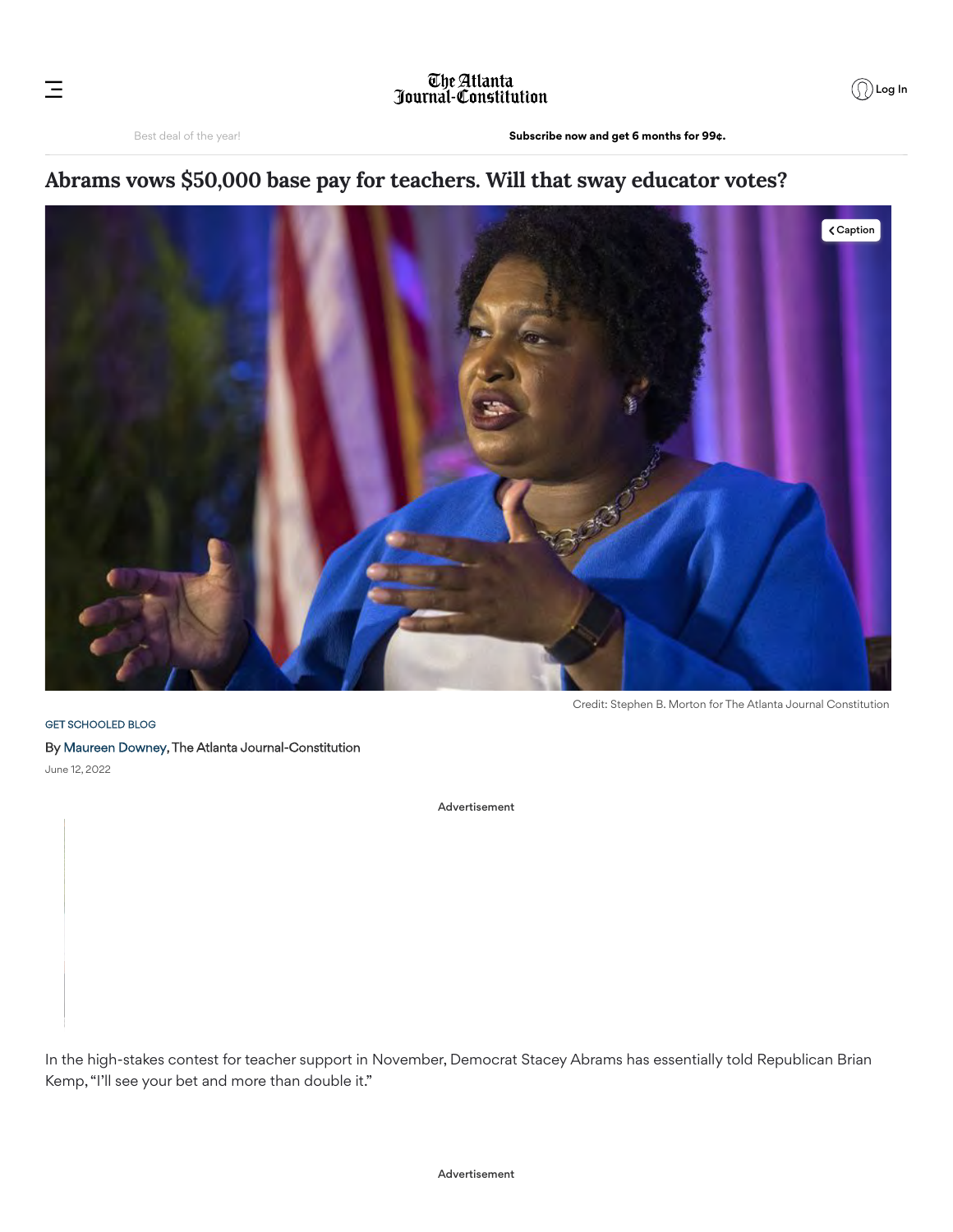## The Atlanta<br>Journal-Constitution

## **Abrams vows \$50,000 base pay for teachers. Will that sway educator votes?**



[GET SCHOOLED BLOG](https://www.ajc.com/education/get-schooled-blog/) By [Maureen Downey](https://www.ajc.com/staff/maureen-downey/), The Atlanta Journal-Constitution June 12, 2022

Advertisement

In the high-stakes contest for teacher support in November, Democrat Stacey Abrams has essentially told Republican Brian Kemp, "I'll see your bet and more than double it."

Ξ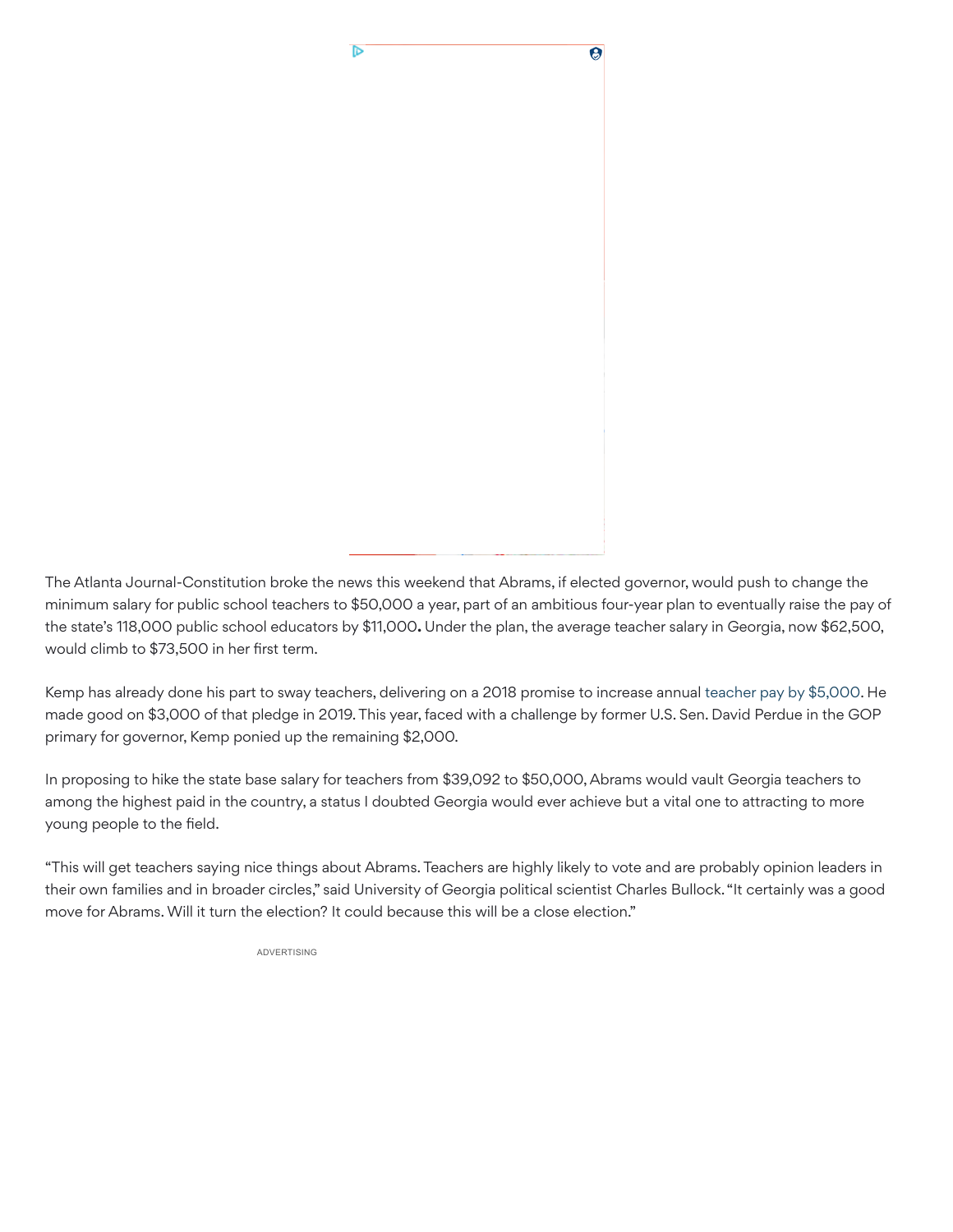

The Atlanta Journal-Constitution broke the news this weekend that Abrams, if elected governor, would push to change the minimum salary for public school teachers to \$50,000 a year, part of an ambitious four-year plan to eventually raise the pay of the state's 118,000 public school educators by \$11,000**.** Under the plan, the average teacher salary in Georgia, now \$62,500, would climb to \$73,500 in her first term.

Kemp has already done his part to sway teachers, delivering on a 2018 promise to increase annual [teacher pay by \\$5,000.](https://www.ajc.com/politics/kemp-signs-upcoming-years-budget-with-teacher-pay-raises/4U3Y2I7CWVDQDC4GOO4MLAWY4U/) He made good on \$3,000 of that pledge in 2019. This year, faced with a challenge by former U.S. Sen. David Perdue in the GOP primary for governor, Kemp ponied up the remaining \$2,000.

In proposing to hike the state base salary for teachers from \$39,092 to \$50,000, Abrams would vault Georgia teachers to among the highest paid in the country, a status I doubted Georgia would ever achieve but a vital one to attracting to more young people to the field.

"This will get teachers saying nice things about Abrams. Teachers are highly likely to vote and are probably opinion leaders in their own families and in broader circles," said University of Georgia political scientist Charles Bullock. "It certainly was a good move for Abrams. Will it turn the election? It could because this will be a close election."

ADVERTISING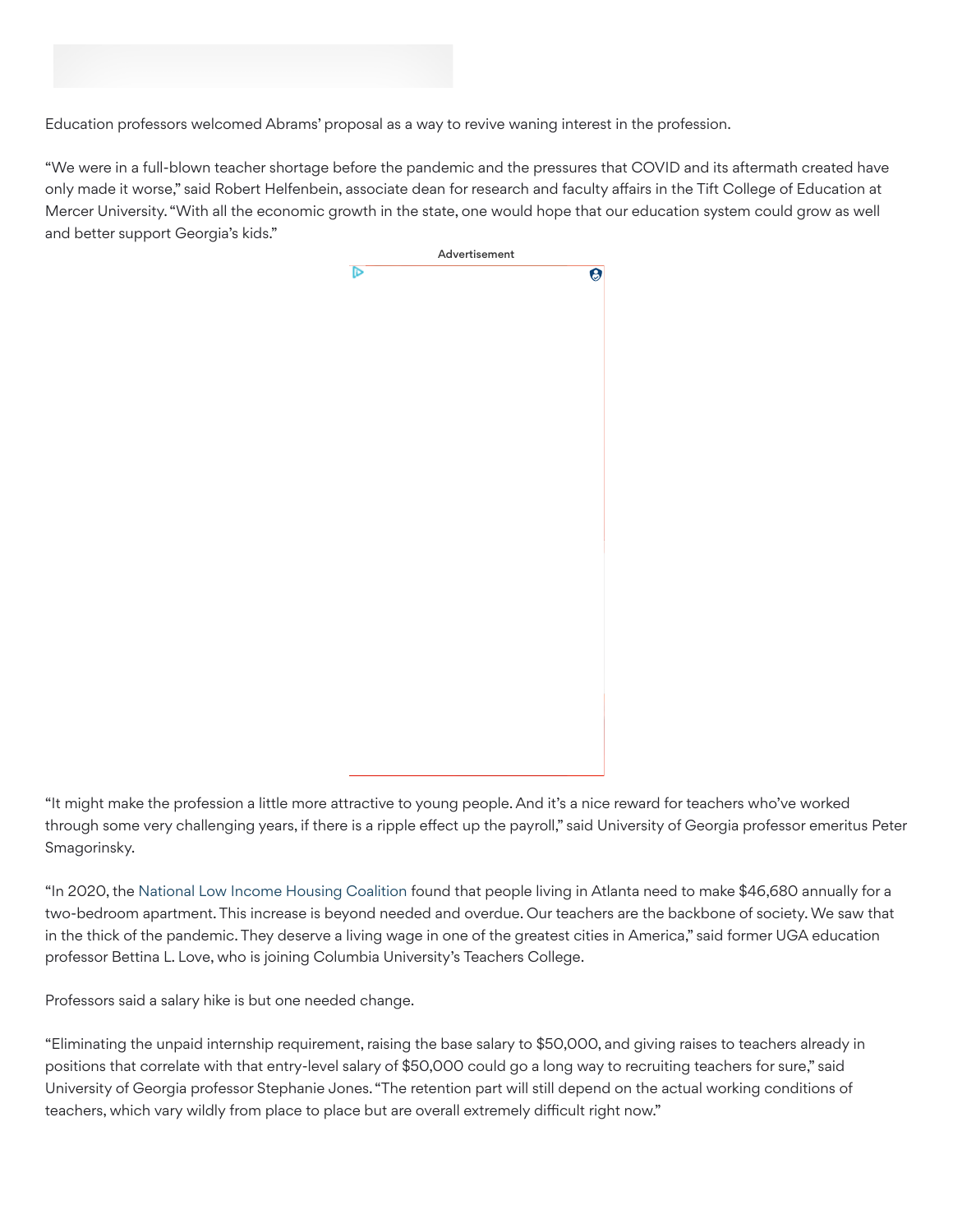

Education professors welcomed Abrams' proposal as a way to revive waning interest in the profession.

"We were in a full-blown teacher shortage before the pandemic and the pressures that COVID and its aftermath created have only made it worse," said Robert Helfenbein, associate dean for research and faculty affairs in the Tift College of Education at Mercer University. "With all the economic growth in the state, one would hope that our education system could grow as well and better support Georgia's kids."



"It might make the profession a little more attractive to young people. And it's a nice reward for teachers who've worked through some very challenging years, if there is a ripple effect up the payroll," said University of Georgia professor emeritus Peter Smagorinsky.

"In 2020, the [National Low Income Housing Coalition](https://urldefense.com/v3/__https:/www.fox5atlanta.com/news/georgians-need-to-earn-19-11-an-hour-to-afford-rent-report-shows__;!!JZyed81S!kzxU1UJux5CFxlomf9ltAt8Mb_N5vUMSzJPb-Gm8mqvLoqjFaKanjNzIEhOQcSQ1GEbefwq6IPeyts-2$) found that people living in Atlanta need to make \$46,680 annually for a two-bedroom apartment. This increase is beyond needed and overdue. Our teachers are the backbone of society. We saw that in the thick of the pandemic. They deserve a living wage in one of the greatest cities in America," said former UGA education professor Bettina L. Love, who is joining Columbia University's Teachers College.

Professors said a salary hike is but one needed change.

"Eliminating the unpaid internship requirement, raising the base salary to \$50,000, and giving raises to teachers already in positions that correlate with that entry-level salary of \$50,000 could go a long way to recruiting teachers for sure," said University of Georgia professor Stephanie Jones. "The retention part will still depend on the actual working conditions of teachers, which vary wildly from place to place but are overall extremely difficult right now."